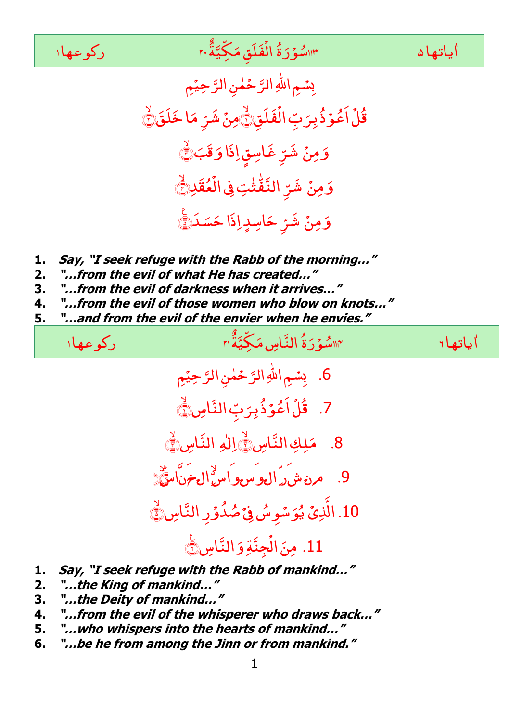

## 113 رکوعہا 1 ُ ة َ ر وۡ ُ س ्<br>१ فَلَقٍ *مَـکِيَّة*َ ۔<br>' یاتها ۵ سیست الله علاقی مَکِیَّةٌ ۲۰ س

ٰ ا ماتھا ہ

بِسُمِ اللهِ الرَّحْمٰنِ الرَّحِيْمِ فَلَقِ﴿ ْ اَعُوۡذُبِرَبِّالُ ْ **قُلُّ اعُوَّذُبِ**رَبِّ الْفَلَقِ(وُّمِنٌ شَرِّ مَا خَلَقَ(وُّ ِ<br>پِمِنۡ شَرِّ مَا خَلَقَ﴾ وَمِنۡ وَمِنْ شَرِّ غَاسِقٍ إِذَا وَ قَبَ ﴿ َ َب ق َ شَرِّ غَاسِقٍ إِذَا وَقَبَهِ ۖ وَمِنۡ وَمِنۡ شَرِّ النَّفَّتٰتِ فِى الْعُقَدِيُّ ْ شَرِّ النَّفَّتْتِ فِي الْمُقَدِرِيُّ ٰ ٰ وَ مِنۡ وَمِنۡ شَرِّ حَاسِدٍاِذَا حَسَدَ(يَّ َ شَرِّ حَاسِدٍاِذَا حَسَدَ۞

- **1. Say, "I seek refuge with the Rabb of the morning…"**
- **2. "…from the evil of what He has created…"**
- **3. "…from the evil of darkness when it arrives…"**
- **4. "…from the evil of those women who blow on knots…"**
- **5. "…and from the evil of the envier when he envies."**



- **3. "…the Deity of mankind…"**
- **4. "…from the evil of the whisperer who draws back…"**
- **5. "…who whispers into the hearts of mankind…"**
- **6. "…be he from among the Jinn or from mankind."**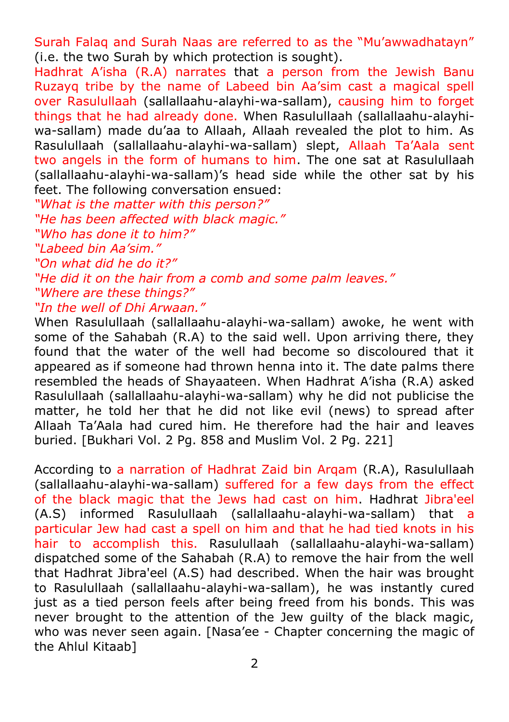Surah Falaq and Surah Naas are referred to as the "Mu'awwadhatayn" (i.e. the two Surah by which protection is sought).

Hadhrat A'isha (R.A) narrates that a person from the Jewish Banu Ruzayq tribe by the name of Labeed bin Aa'sim cast a magical spell over Rasulullaah (sallallaahu-alayhi-wa-sallam), causing him to forget things that he had already done. When Rasulullaah (sallallaahu-alayhiwa-sallam) made du'aa to Allaah, Allaah revealed the plot to him. As Rasulullaah (sallallaahu-alayhi-wa-sallam) slept, Allaah Ta'Aala sent two angels in the form of humans to him. The one sat at Rasulullaah (sallallaahu-alayhi-wa-sallam)'s head side while the other sat by his feet. The following conversation ensued:

*"What is the matter with this person?" "He has been affected with black magic." "Who has done it to him?" "Labeed bin Aa'sim." "On what did he do it?" "He did it on the hair from a comb and some palm leaves." "Where are these things?" "In the well of Dhi Arwaan."*

When Rasulullaah (sallallaahu-alayhi-wa-sallam) awoke, he went with some of the Sahabah (R.A) to the said well. Upon arriving there, they found that the water of the well had become so discoloured that it appeared as if someone had thrown henna into it. The date palms there resembled the heads of Shayaateen. When Hadhrat A'isha (R.A) asked Rasulullaah (sallallaahu-alayhi-wa-sallam) why he did not publicise the matter, he told her that he did not like evil (news) to spread after Allaah Ta'Aala had cured him. He therefore had the hair and leaves buried. [Bukhari Vol. 2 Pg. 858 and Muslim Vol. 2 Pg. 221]

According to a narration of Hadhrat Zaid bin Arqam (R.A), Rasulullaah (sallallaahu-alayhi-wa-sallam) suffered for a few days from the effect of the black magic that the Jews had cast on him. Hadhrat Jibra'eel (A.S) informed Rasulullaah (sallallaahu-alayhi-wa-sallam) that a particular Jew had cast a spell on him and that he had tied knots in his hair to accomplish this. Rasulullaah (sallallaahu-alayhi-wa-sallam) dispatched some of the Sahabah (R.A) to remove the hair from the well that Hadhrat Jibra'eel (A.S) had described. When the hair was brought to Rasulullaah (sallallaahu-alayhi-wa-sallam), he was instantly cured just as a tied person feels after being freed from his bonds. This was never brought to the attention of the Jew guilty of the black magic, who was never seen again. [Nasa'ee - Chapter concerning the magic of the Ahlul Kitaab]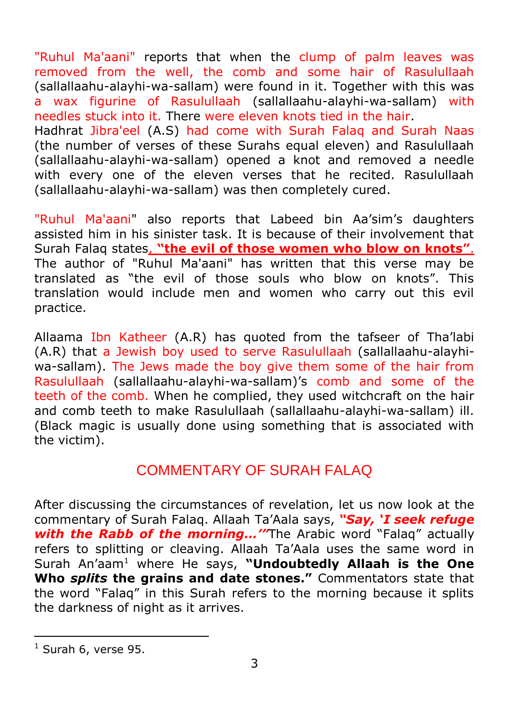"Ruhul Ma'aani" reports that when the clump of palm leaves was removed from the well, the comb and some hair of Rasulullaah (sallallaahu-alayhi-wa-sallam) were found in it. Together with this was a wax figurine of Rasulullaah (sallallaahu-alayhi-wa-sallam) with needles stuck into it. There were eleven knots tied in the hair. Hadhrat Jibra'eel (A.S) had come with Surah Falaq and Surah Naas (the number of verses of these Surahs equal eleven) and Rasulullaah (sallallaahu-alayhi-wa-sallam) opened a knot and removed a needle with every one of the eleven verses that he recited. Rasulullaah (sallallaahu-alayhi-wa-sallam) was then completely cured.

"Ruhul Ma'aani" also reports that Labeed bin Aa'sim's daughters assisted him in his sinister task. It is because of their involvement that Surah Falaq states, **"the evil of those women who blow on knots"**. The author of "Ruhul Ma'aani" has written that this verse may be translated as "the evil of those souls who blow on knots". This translation would include men and women who carry out this evil practice.

Allaama Ibn Katheer (A.R) has quoted from the tafseer of Tha'labi (A.R) that a Jewish boy used to serve Rasulullaah (sallallaahu-alayhiwa-sallam). The Jews made the boy give them some of the hair from Rasulullaah (sallallaahu-alayhi-wa-sallam)'s comb and some of the teeth of the comb. When he complied, they used witchcraft on the hair and comb teeth to make Rasulullaah (sallallaahu-alayhi-wa-sallam) ill. (Black magic is usually done using something that is associated with the victim).

## COMMENTARY OF SURAH FALAQ

After discussing the circumstances of revelation, let us now look at the commentary of Surah Falaq. Allaah Ta'Aala says, *"Say, "I seek refuge with the Rabb of the morning…""*The Arabic word "Falaq" actually refers to splitting or cleaving. Allaah Ta'Aala uses the same word in Surah An'aam<sup>1</sup> where He says, **"Undoubtedly Allaah is the One Who** *splits* **the grains and date stones."** Commentators state that the word "Falaq" in this Surah refers to the morning because it splits the darkness of night as it arrives.

1

 $<sup>1</sup>$  Surah 6, verse 95.</sup>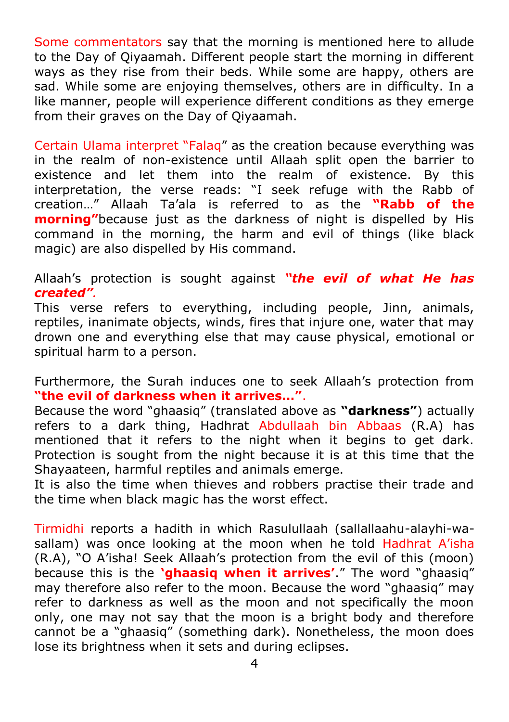Some commentators say that the morning is mentioned here to allude to the Day of Qiyaamah. Different people start the morning in different ways as they rise from their beds. While some are happy, others are sad. While some are enjoying themselves, others are in difficulty. In a like manner, people will experience different conditions as they emerge from their graves on the Day of Qiyaamah.

Certain Ulama interpret "Falaq" as the creation because everything was in the realm of non-existence until Allaah split open the barrier to existence and let them into the realm of existence. By this interpretation, the verse reads: "I seek refuge with the Rabb of creation…" Allaah Ta'ala is referred to as the **"Rabb of the morning"**because just as the darkness of night is dispelled by His command in the morning, the harm and evil of things (like black magic) are also dispelled by His command.

Allaah's protection is sought against *"the evil of what He has created".*

This verse refers to everything, including people, Jinn, animals, reptiles, inanimate objects, winds, fires that injure one, water that may drown one and everything else that may cause physical, emotional or spiritual harm to a person.

Furthermore, the Surah induces one to seek Allaah's protection from **"the evil of darkness when it arrives…"**.

Because the word "ghaasiq" (translated above as **"darkness"**) actually refers to a dark thing, Hadhrat Abdullaah bin Abbaas (R.A) has mentioned that it refers to the night when it begins to get dark. Protection is sought from the night because it is at this time that the Shayaateen, harmful reptiles and animals emerge.

It is also the time when thieves and robbers practise their trade and the time when black magic has the worst effect.

Tirmidhi reports a hadith in which Rasulullaah (sallallaahu-alayhi-wasallam) was once looking at the moon when he told Hadhrat A'isha (R.A), "O A'isha! Seek Allaah's protection from the evil of this (moon) because this is the **"ghaasiq when it arrives"**." The word "ghaasiq" may therefore also refer to the moon. Because the word "ghaasiq" may refer to darkness as well as the moon and not specifically the moon only, one may not say that the moon is a bright body and therefore cannot be a "ghaasiq" (something dark). Nonetheless, the moon does lose its brightness when it sets and during eclipses.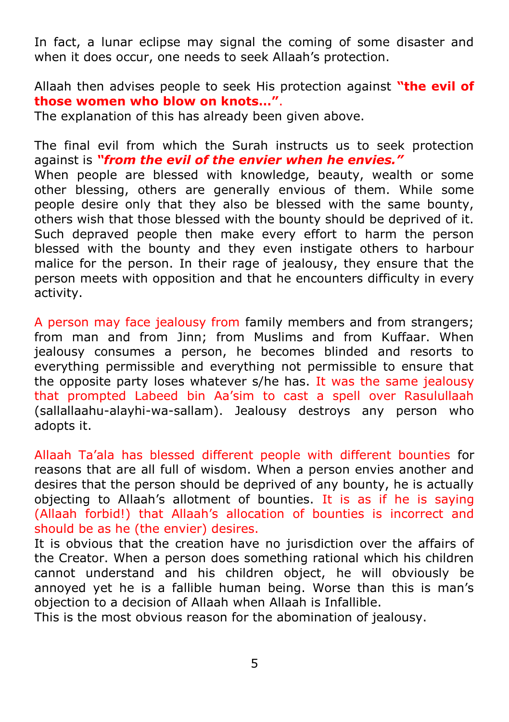In fact, a lunar eclipse may signal the coming of some disaster and when it does occur, one needs to seek Allaah's protection.

Allaah then advises people to seek His protection against **"the evil of those women who blow on knots…"**. The explanation of this has already been given above.

The final evil from which the Surah instructs us to seek protection against is *"from the evil of the envier when he envies."*

When people are blessed with knowledge, beauty, wealth or some other blessing, others are generally envious of them. While some people desire only that they also be blessed with the same bounty, others wish that those blessed with the bounty should be deprived of it. Such depraved people then make every effort to harm the person blessed with the bounty and they even instigate others to harbour malice for the person. In their rage of jealousy, they ensure that the person meets with opposition and that he encounters difficulty in every activity.

A person may face jealousy from family members and from strangers; from man and from Jinn; from Muslims and from Kuffaar. When jealousy consumes a person, he becomes blinded and resorts to everything permissible and everything not permissible to ensure that the opposite party loses whatever s/he has. It was the same jealousy that prompted Labeed bin Aa'sim to cast a spell over Rasulullaah (sallallaahu-alayhi-wa-sallam). Jealousy destroys any person who adopts it.

Allaah Ta'ala has blessed different people with different bounties for reasons that are all full of wisdom. When a person envies another and desires that the person should be deprived of any bounty, he is actually objecting to Allaah's allotment of bounties. It is as if he is saying (Allaah forbid!) that Allaah's allocation of bounties is incorrect and should be as he (the envier) desires.

It is obvious that the creation have no jurisdiction over the affairs of the Creator. When a person does something rational which his children cannot understand and his children object, he will obviously be annoyed yet he is a fallible human being. Worse than this is man's objection to a decision of Allaah when Allaah is Infallible.

This is the most obvious reason for the abomination of jealousy.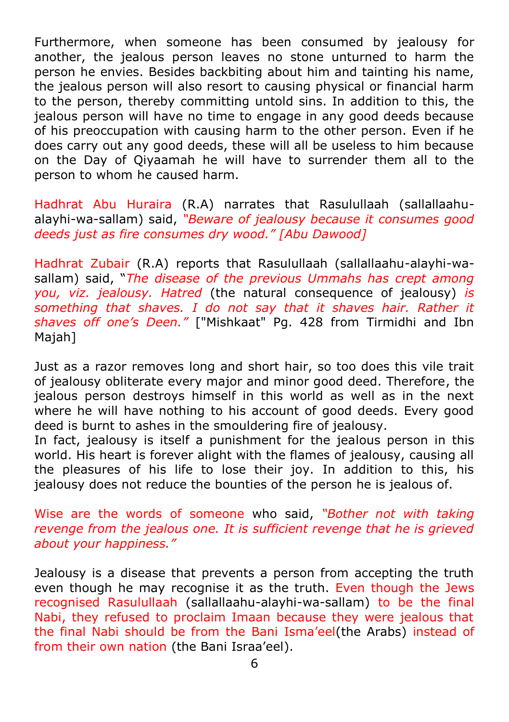Furthermore, when someone has been consumed by jealousy for another, the jealous person leaves no stone unturned to harm the person he envies. Besides backbiting about him and tainting his name, the jealous person will also resort to causing physical or financial harm to the person, thereby committing untold sins. In addition to this, the jealous person will have no time to engage in any good deeds because of his preoccupation with causing harm to the other person. Even if he does carry out any good deeds, these will all be useless to him because on the Day of Qiyaamah he will have to surrender them all to the person to whom he caused harm.

Hadhrat Abu Huraira (R.A) narrates that Rasulullaah (sallallaahualayhi-wa-sallam) said, *"Beware of jealousy because it consumes good deeds just as fire consumes dry wood." [Abu Dawood]*

Hadhrat Zubair (R.A) reports that Rasulullaah (sallallaahu-alayhi-wasallam) said, "*The disease of the previous Ummahs has crept among you, viz. jealousy. Hatred* (the natural consequence of jealousy) *is something that shaves. I do not say that it shaves hair. Rather it shaves off one's Deen."* ["Mishkaat" Pg. 428 from Tirmidhi and Ibn Majah]

Just as a razor removes long and short hair, so too does this vile trait of jealousy obliterate every major and minor good deed. Therefore, the jealous person destroys himself in this world as well as in the next where he will have nothing to his account of good deeds. Every good deed is burnt to ashes in the smouldering fire of jealousy.

In fact, jealousy is itself a punishment for the jealous person in this world. His heart is forever alight with the flames of jealousy, causing all the pleasures of his life to lose their joy. In addition to this, his jealousy does not reduce the bounties of the person he is jealous of.

Wise are the words of someone who said, *"Bother not with taking revenge from the jealous one. It is sufficient revenge that he is grieved about your happiness."* 

Jealousy is a disease that prevents a person from accepting the truth even though he may recognise it as the truth. Even though the Jews recognised Rasulullaah (sallallaahu-alayhi-wa-sallam) to be the final Nabi, they refused to proclaim Imaan because they were jealous that the final Nabi should be from the Bani Isma'eel(the Arabs) instead of from their own nation (the Bani Israa'eel).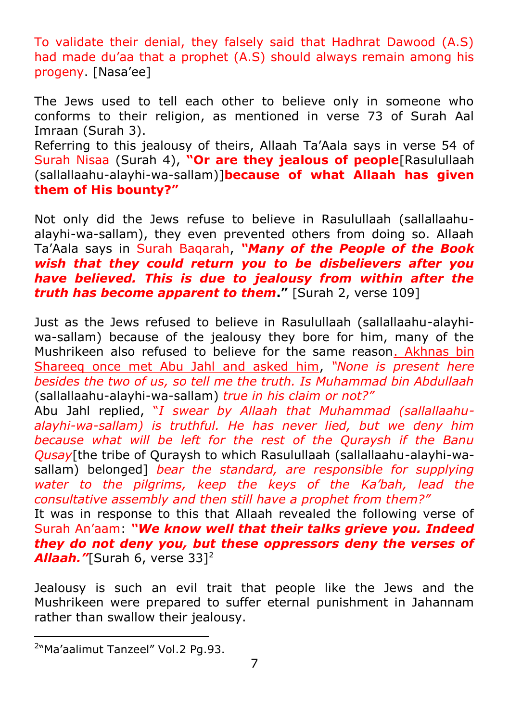To validate their denial, they falsely said that Hadhrat Dawood (A.S) had made du'aa that a prophet (A.S) should always remain among his progeny. [Nasa'ee]

The Jews used to tell each other to believe only in someone who conforms to their religion, as mentioned in verse 73 of Surah Aal Imraan (Surah 3).

Referring to this jealousy of theirs, Allaah Ta'Aala says in verse 54 of Surah Nisaa (Surah 4), **"Or are they jealous of people**[Rasulullaah (sallallaahu-alayhi-wa-sallam)]**because of what Allaah has given them of His bounty?"** 

Not only did the Jews refuse to believe in Rasulullaah (sallallaahualayhi-wa-sallam), they even prevented others from doing so. Allaah Ta'Aala says in Surah Baqarah, *"Many of the People of the Book wish that they could return you to be disbelievers after you have believed. This is due to jealousy from within after the truth has become apparent to them***."** [Surah 2, verse 109]

Just as the Jews refused to believe in Rasulullaah (sallallaahu-alayhiwa-sallam) because of the jealousy they bore for him, many of the Mushrikeen also refused to believe for the same reason. Akhnas bin Shareeq once met Abu Jahl and asked him, *"None is present here besides the two of us, so tell me the truth. Is Muhammad bin Abdullaah* (sallallaahu-alayhi-wa-sallam) *true in his claim or not?"*

Abu Jahl replied, "*I swear by Allaah that Muhammad (sallallaahualayhi-wa-sallam) is truthful. He has never lied, but we deny him because what will be left for the rest of the Quraysh if the Banu Qusay*[the tribe of Quraysh to which Rasulullaah (sallallaahu-alayhi-wasallam) belonged] *bear the standard, are responsible for supplying water to the pilgrims, keep the keys of the Ka'bah, lead the consultative assembly and then still have a prophet from them?"*

It was in response to this that Allaah revealed the following verse of Surah An'aam: *"We know well that their talks grieve you. Indeed they do not deny you, but these oppressors deny the verses of*  Allaah."[Surah 6, verse 331<sup>2</sup>

Jealousy is such an evil trait that people like the Jews and the Mushrikeen were prepared to suffer eternal punishment in Jahannam rather than swallow their jealousy.

1

<sup>&</sup>lt;sup>2</sup>Ma'aalimut Tanzeel" Vol.2 Pg.93.